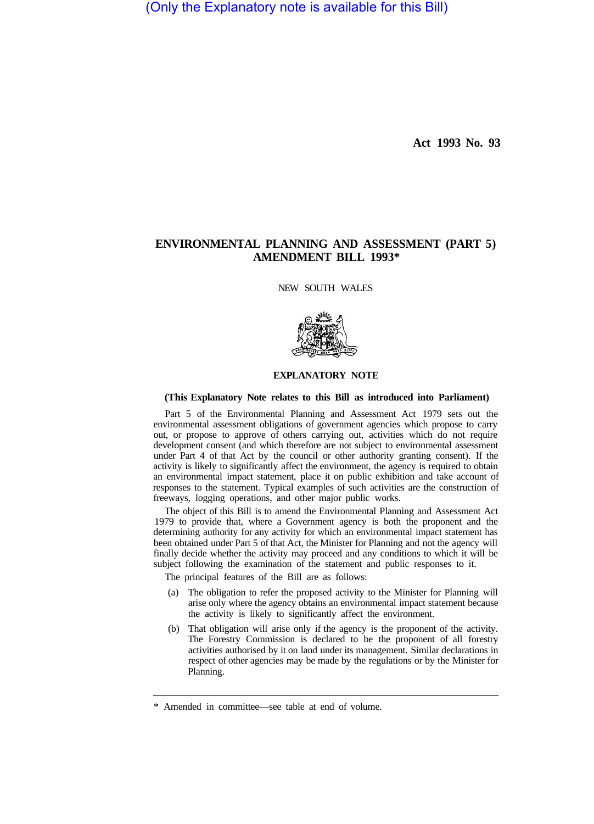(Only the Explanatory note is available for this Bill)

**Act 1993 No. 93** 

## **ENVIRONMENTAL PLANNING AND ASSESSMENT (PART 5) AMENDMENT BILL 1993\***

NEW SOUTH WALES



## **EXPLANATORY NOTE**

## **(This Explanatory Note relates to this Bill as introduced into Parliament)**

Part 5 of the Environmental Planning and Assessment Act 1979 sets out the environmental assessment obligations of government agencies which propose to carry out, or propose to approve of others carrying out, activities which do not require development consent (and which therefore are not subject to environmental assessment under Part 4 of that Act by the council or other authority granting consent). If the activity is likely to significantly affect the environment, the agency is required to obtain an environmental impact statement, place it on public exhibition and take account of responses to the statement. Typical examples of such activities are the construction of freeways, logging operations, and other major public works.

The object of this Bill is to amend the Environmental Planning and Assessment Act 1979 to provide that, where a Government agency is both the proponent and the determining authority for any activity for which an environmental impact statement has been obtained under Part 5 of that Act, the Minister for Planning and not the agency will finally decide whether the activity may proceed and any conditions to which it will be subject following the examination of the statement and public responses to it.

The principal features of the Bill are as follows:

- (a) The obligation to refer the proposed activity to the Minister for Planning will arise only where the agency obtains an environmental impact statement because the activity is likely to significantly affect the environment.
- (b) That obligation will arise only if the agency is the proponent of the activity. The Forestry Commission is declared to be the proponent of all forestry activities authorised by it on land under its management. Similar declarations in respect of other agencies may be made by the regulations or by the Minister for Planning.

<sup>\*</sup> Amended in committee—see table at end of volume.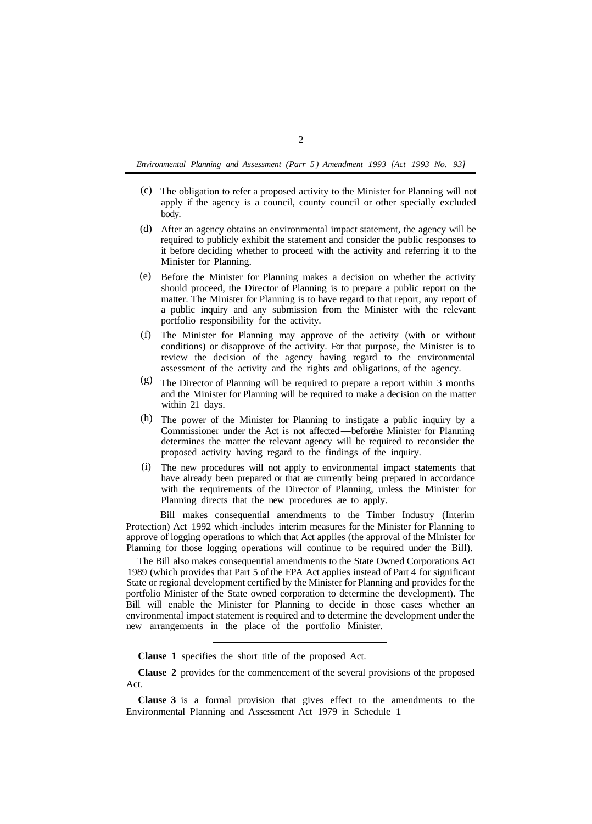*Environmental Planning and Assessment (Parr 5) Amendment 1993 [Act 1993 No. 93]* 

- The obligation to refer a proposed activity to the Minister for Planning will not (c) apply if the agency is a council, county council or other specially excluded body.
- After an agency obtains an environmental impact statement, the agency will be (d) required to publicly exhibit the statement and consider the public responses to it before deciding whether to proceed with the activity and referring it to the Minister for Planning.
- Before the Minister for Planning makes a decision on whether the activity should proceed, the Director of Planning is to prepare a public report on the matter. The Minister for Planning is to have regard to that report, any report of a public inquiry and any submission from the Minister with the relevant portfolio responsibility for the activity. (e)
- (f) The Minister for Planning may approve of the activity (with or without conditions) or disapprove of the activity. For that purpose, the Minister is to review the decision of the agency having regard to the environmental assessment of the activity and the rights and obligations, of the agency.
- $(g)$  The Director of Planning will be required to prepare a report within 3 months and the Minister for Planning will be required to make a decision on the matter within 21 days.
- The power of the Minister for Planning to instigate a public inquiry by a within 21 days.<br>The power of the Minister for Planning to instigate a public inquiry by a<br>Commissioner under the Act is not affected—before the Minister for Planning<br>determines the matter the relations will be required to determines the matter the relevant agency will be required to reconsider the proposed activity having regard to the findings of the inquiry. (h)
- The new procedures will not apply to environmental impact statements that (i)have already been prepared or that are currently being prepared in accordance with the requirements of the Director of Planning, unless the Minister for Planning directs that the new procedures are to apply.

Bill makes consequential amendments to the Timber Industry (Interim Protection) Act 1992 which -includes interim measures for the Minister for Planning to approve of logging operations to which that Act applies (the approval of the Minister for Planning for those logging operations will continue to be required under the Bill).

The Bill also makes consequential amendments to the State Owned Corporations Act 1989 (which provides that Part 5 of the EPA Act applies instead of Part 4 for significant State or regional development certified by the Minister for Planning and provides for the portfolio Minister of the State owned corporation to determine the development). The Bill will enable the Minister for Planning to decide in those cases whether an environmental impact statement is required and to determine the development under the new arrangements in the place of the portfolio Minister.

**Clause 1** specifies the short title of the proposed Act.

**Clause 2** provides for the commencement of the several provisions of the proposed Act.

**Clause 3** is a formal provision that gives effect to the amendments to the Environmental Planning and Assessment Act 1979 in Schedule 1.